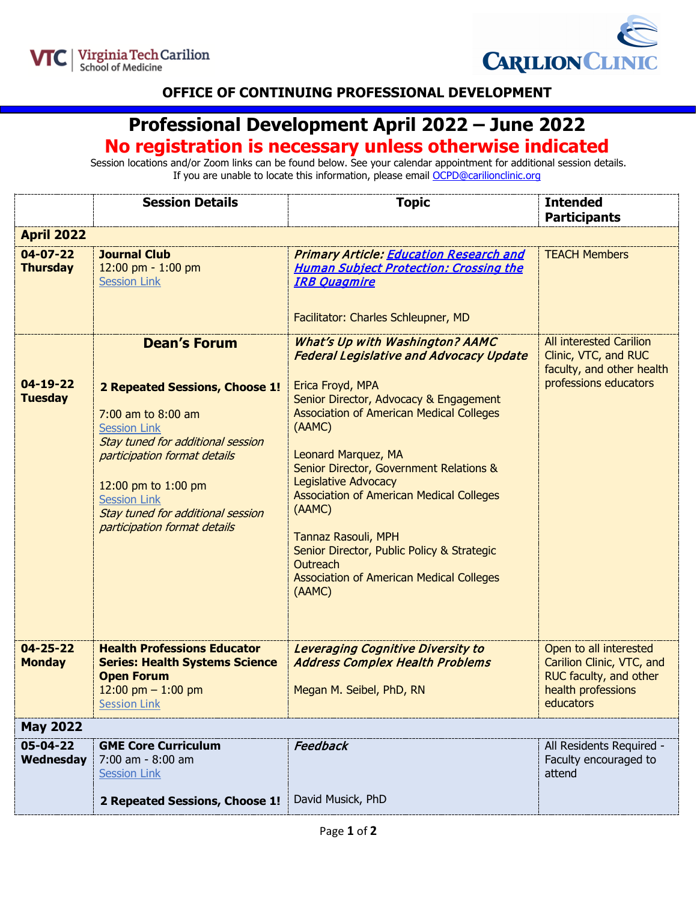



## **OFFICE OF CONTINUING PROFESSIONAL DEVELOPMENT**

## **Professional Development April 2022 – June 2022**

## **No registration is necessary unless otherwise indicated**

Session locations and/or Zoom links can be found below. See your calendar appointment for additional session details. If you are unable to locate this information, please email [OCPD@carilionclinic.org](mailto:OCPD@carilionclinic.org)

|                                   | <b>Session Details</b>                                                                                                                                                                                                                                                                     | <b>Topic</b>                                                                                                                                                                                                                                                                                                                                                                                                                                                                                                                    | <b>Intended</b><br><b>Participants</b>                                                                           |  |
|-----------------------------------|--------------------------------------------------------------------------------------------------------------------------------------------------------------------------------------------------------------------------------------------------------------------------------------------|---------------------------------------------------------------------------------------------------------------------------------------------------------------------------------------------------------------------------------------------------------------------------------------------------------------------------------------------------------------------------------------------------------------------------------------------------------------------------------------------------------------------------------|------------------------------------------------------------------------------------------------------------------|--|
| <b>April 2022</b>                 |                                                                                                                                                                                                                                                                                            |                                                                                                                                                                                                                                                                                                                                                                                                                                                                                                                                 |                                                                                                                  |  |
| $04 - 07 - 22$<br><b>Thursday</b> | <b>Journal Club</b><br>12:00 pm - 1:00 pm<br><b>Session Link</b>                                                                                                                                                                                                                           | <b>Primary Article: Education Research and</b><br><b>Human Subject Protection: Crossing the</b><br><b>IRB Ouagmire</b><br>Facilitator: Charles Schleupner, MD                                                                                                                                                                                                                                                                                                                                                                   | <b>TEACH Members</b>                                                                                             |  |
| $04 - 19 - 22$<br><b>Tuesday</b>  | <b>Dean's Forum</b><br>2 Repeated Sessions, Choose 1!<br>7:00 am to 8:00 am<br><b>Session Link</b><br>Stay tuned for additional session<br>participation format details<br>12:00 pm to 1:00 pm<br><b>Session Link</b><br>Stay tuned for additional session<br>participation format details | <b>What's Up with Washington? AAMC</b><br><b>Federal Legislative and Advocacy Update</b><br>Erica Froyd, MPA<br>Senior Director, Advocacy & Engagement<br><b>Association of American Medical Colleges</b><br>(AAMC)<br>Leonard Marquez, MA<br>Senior Director, Government Relations &<br><b>Legislative Advocacy</b><br><b>Association of American Medical Colleges</b><br>(AAMC)<br>Tannaz Rasouli, MPH<br>Senior Director, Public Policy & Strategic<br>Outreach<br><b>Association of American Medical Colleges</b><br>(AAMC) | <b>All interested Carilion</b><br>Clinic, VTC, and RUC<br>faculty, and other health<br>professions educators     |  |
| $04 - 25 - 22$<br><b>Monday</b>   | <b>Health Professions Educator</b><br><b>Series: Health Systems Science</b><br><b>Open Forum</b><br>12:00 pm $-$ 1:00 pm<br><b>Session Link</b>                                                                                                                                            | Leveraging Cognitive Diversity to<br><b>Address Complex Health Problems</b><br>Megan M. Seibel, PhD, RN                                                                                                                                                                                                                                                                                                                                                                                                                         | Open to all interested<br>Carilion Clinic, VTC, and<br>RUC faculty, and other<br>health professions<br>educators |  |
| <b>May 2022</b>                   |                                                                                                                                                                                                                                                                                            |                                                                                                                                                                                                                                                                                                                                                                                                                                                                                                                                 |                                                                                                                  |  |
| 05-04-22<br>Wednesday             | <b>GME Core Curriculum</b><br>7:00 am - 8:00 am<br><b>Session Link</b>                                                                                                                                                                                                                     | Feedback                                                                                                                                                                                                                                                                                                                                                                                                                                                                                                                        | All Residents Required -<br>Faculty encouraged to<br>attend                                                      |  |
|                                   | 2 Repeated Sessions, Choose 1!                                                                                                                                                                                                                                                             | David Musick, PhD                                                                                                                                                                                                                                                                                                                                                                                                                                                                                                               |                                                                                                                  |  |